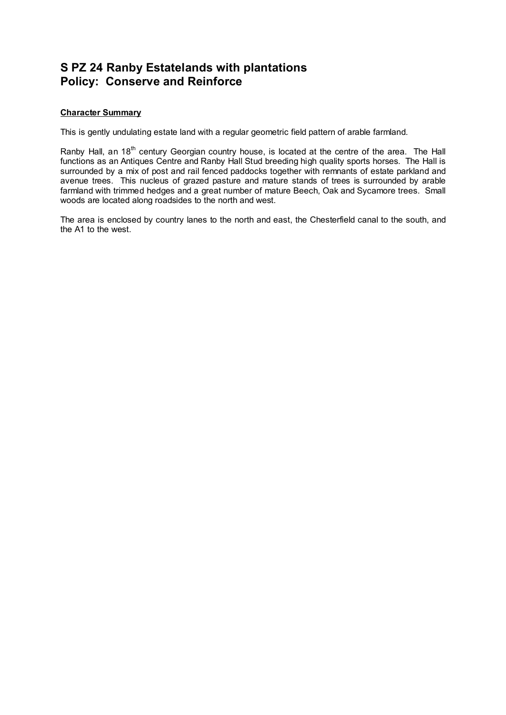## **S PZ 24 Ranby Estatelands with plantations Policy: Conserve and Reinforce**

## **Character Summary**

This is gently undulating estate land with a regular geometric field pattern of arable farmland.

Ranby Hall, an 18<sup>th</sup> century Georgian country house, is located at the centre of the area. The Hall functions as an Antiques Centre and Ranby Hall Stud breeding high quality sports horses. The Hall is surrounded by a mix of post and rail fenced paddocks together with remnants of estate parkland and avenue trees. This nucleus of grazed pasture and mature stands of trees is surrounded by arable farmland with trimmed hedges and a great number of mature Beech, Oak and Sycamore trees. Small woods are located along roadsides to the north and west.

The area is enclosed by country lanes to the north and east, the Chesterfield canal to the south, and the A1 to the west.